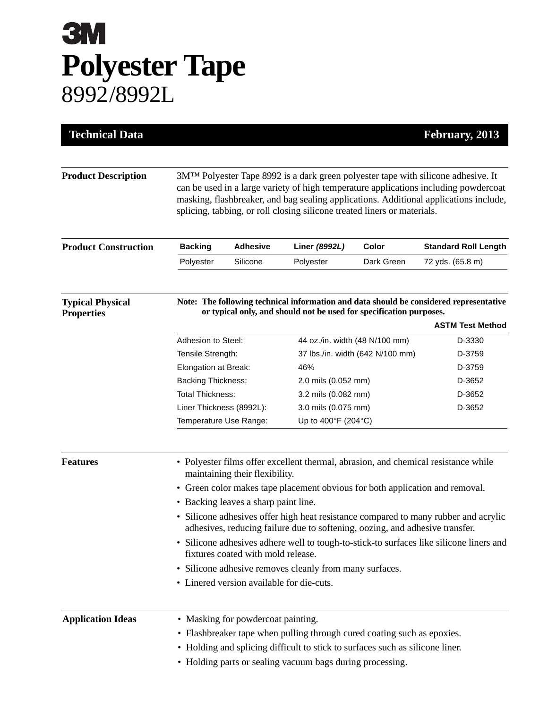## **3M Polyester Tape** 8992/8992L

| <b>Technical Data</b>                        |                                                                                                                                                                                                                                                                                                                                                             |                 |                                  |            | February, 2013              |  |
|----------------------------------------------|-------------------------------------------------------------------------------------------------------------------------------------------------------------------------------------------------------------------------------------------------------------------------------------------------------------------------------------------------------------|-----------------|----------------------------------|------------|-----------------------------|--|
|                                              |                                                                                                                                                                                                                                                                                                                                                             |                 |                                  |            |                             |  |
| <b>Product Description</b>                   | 3M <sup>TM</sup> Polyester Tape 8992 is a dark green polyester tape with silicone adhesive. It<br>can be used in a large variety of high temperature applications including powdercoat<br>masking, flashbreaker, and bag sealing applications. Additional applications include,<br>splicing, tabbing, or roll closing silicone treated liners or materials. |                 |                                  |            |                             |  |
| <b>Product Construction</b>                  | <b>Backing</b>                                                                                                                                                                                                                                                                                                                                              | <b>Adhesive</b> | Liner (8992L)                    | Color      | <b>Standard Roll Length</b> |  |
|                                              | Polyester                                                                                                                                                                                                                                                                                                                                                   | Silicone        | Polyester                        | Dark Green | 72 yds. (65.8 m)            |  |
| <b>Typical Physical</b><br><b>Properties</b> | Note: The following technical information and data should be considered representative<br>or typical only, and should not be used for specification purposes.<br><b>ASTM Test Method</b>                                                                                                                                                                    |                 |                                  |            |                             |  |
|                                              |                                                                                                                                                                                                                                                                                                                                                             |                 | 44 oz./in. width (48 N/100 mm)   |            | D-3330                      |  |
|                                              | Adhesion to Steel:                                                                                                                                                                                                                                                                                                                                          |                 | 37 lbs./in. width (642 N/100 mm) |            | D-3759                      |  |
|                                              | Tensile Strength:<br>Elongation at Break:                                                                                                                                                                                                                                                                                                                   |                 | 46%                              |            | D-3759                      |  |
|                                              | <b>Backing Thickness:</b>                                                                                                                                                                                                                                                                                                                                   |                 | 2.0 mils (0.052 mm)              |            | D-3652                      |  |
|                                              | <b>Total Thickness:</b>                                                                                                                                                                                                                                                                                                                                     |                 | 3.2 mils (0.082 mm)              |            | D-3652                      |  |
|                                              | Liner Thickness (8992L):                                                                                                                                                                                                                                                                                                                                    |                 | 3.0 mils (0.075 mm)              |            | D-3652                      |  |
|                                              | Temperature Use Range:                                                                                                                                                                                                                                                                                                                                      |                 | Up to 400°F (204°C)              |            |                             |  |
| <b>Features</b>                              | • Polyester films offer excellent thermal, abrasion, and chemical resistance while<br>maintaining their flexibility.                                                                                                                                                                                                                                        |                 |                                  |            |                             |  |
|                                              | • Green color makes tape placement obvious for both application and removal.                                                                                                                                                                                                                                                                                |                 |                                  |            |                             |  |
|                                              | • Backing leaves a sharp paint line.                                                                                                                                                                                                                                                                                                                        |                 |                                  |            |                             |  |
|                                              | • Silicone adhesives offer high heat resistance compared to many rubber and acrylic<br>adhesives, reducing failure due to softening, oozing, and adhesive transfer.                                                                                                                                                                                         |                 |                                  |            |                             |  |
|                                              | Silicone adhesives adhere well to tough-to-stick-to surfaces like silicone liners and<br>fixtures coated with mold release.                                                                                                                                                                                                                                 |                 |                                  |            |                             |  |
|                                              | • Silicone adhesive removes cleanly from many surfaces.                                                                                                                                                                                                                                                                                                     |                 |                                  |            |                             |  |
|                                              | • Linered version available for die-cuts.                                                                                                                                                                                                                                                                                                                   |                 |                                  |            |                             |  |
| <b>Application Ideas</b>                     | • Masking for powdercoat painting.                                                                                                                                                                                                                                                                                                                          |                 |                                  |            |                             |  |
|                                              | • Flashbreaker tape when pulling through cured coating such as epoxies.                                                                                                                                                                                                                                                                                     |                 |                                  |            |                             |  |
|                                              | • Holding and splicing difficult to stick to surfaces such as silicone liner.                                                                                                                                                                                                                                                                               |                 |                                  |            |                             |  |
|                                              | • Holding parts or sealing vacuum bags during processing.                                                                                                                                                                                                                                                                                                   |                 |                                  |            |                             |  |